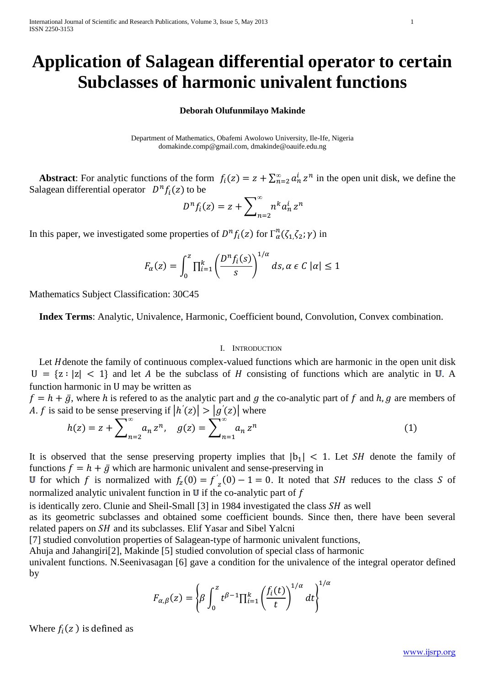## **Application of Salagean differential operator to certain Subclasses of harmonic univalent functions**

## **Deborah Olufunmilayo Makinde**

Department of Mathematics, Obafemi Awolowo University, Ile-Ife, Nigeria [domakinde.comp@gmail.com,](mailto:domakinde.comp@gmail.com) [dmakinde@oauife.edu.ng](mailto:dmakinde@oauife.edu.ng)

**Abstract**: For analytic functions of the form  $f_i(z) = z + \sum_{n=2}^{\infty} a_n^i z^n$  in the open unit disk, we define the Salagean differential operator  $D^n f_i(z)$  to be

$$
D^{n}f_{i}(z) = z + \sum_{n=2}^{\infty} n^{k} a_{n}^{i} z^{n}
$$

In this paper, we investigated some properties of  $D^n f_i(z)$  for  $\Gamma_\alpha^n(\zeta_1,\zeta_2;\gamma)$  in

$$
F_{\alpha}(z) = \int_0^z \prod_{i=1}^k \left(\frac{D^n f_i(s)}{s}\right)^{1/\alpha} ds, \alpha \in C \; |\alpha| \le 1
$$

Mathematics Subject Classification: 30C45

 **Index Terms**: Analytic, Univalence, Harmonic, Coefficient bound, Convolution, Convex combination.

## I. INTRODUCTION

Let H denote the family of continuous complex-valued functions which are harmonic in the open unit disk  $|U| = \{z : |z| < 1\}$  and let A be the subclass of H consisting of functions which are analytic in U. A function harmonic in U may be written as

 $f = h + \bar{g}$ , where h is refered to as the analytic part and g the co-analytic part of f and h, g are members of A. f is said to be sense preserving if  $|h'(z)| > |g'(z)|$  where

$$
h(z) = z + \sum_{n=2}^{\infty} a_n z^n, \quad g(z) = \sum_{n=1}^{\infty} a_n z^n
$$
 (1)

It is observed that the sense preserving property implies that  $|b_1| < 1$ . Let SH denote the family of functions  $f = h + \bar{g}$  which are harmonic univalent and sense-preserving in

for which f is normalized with  $f_z(0) = f'$  $\sum_{z=1}^{z}(0) - 1 = 0$ . It noted that *SH* reduces to the class *S* of normalized analytic univalent function in  **if the co-analytic part of**  $f$ 

is identically zero. Clunie and Sheil-Small  $[3]$  in 1984 investigated the class  $SH$  as well

as its geometric subclasses and obtained some coefficient bounds. Since then, there have been several related papers on  $SH$  and its subclasses. Elif Yasar and Sibel Yalcni

[7] studied convolution properties of Salagean-type of harmonic univalent functions,

Ahuja and Jahangiri[2], Makinde [5] studied convolution of special class of harmonic

univalent functions. N.Seenivasagan [6] gave a condition for the univalence of the integral operator defined by

$$
F_{\alpha,\beta}(z) = \left\{\beta \int_0^z t^{\beta-1} \prod_{i=1}^k \left(\frac{f_i(t)}{t}\right)^{1/\alpha} dt\right\}^{1/\alpha}
$$

Where  $f_i(z)$  is defined as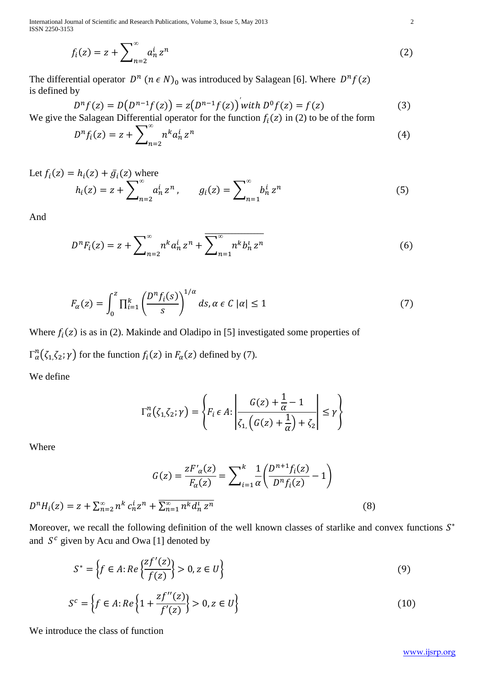International Journal of Scientific and Research Publications, Volume 3, Issue 5, May 2013 2 ISSN 2250-3153

$$
f_i(z) = z + \sum_{n=2}^{\infty} a_n^i z^n
$$
 (2)

The differential operator  $D^n$  ( $n \in N$ )<sub>0</sub> was introduced by Salagean [6]. Where  $D^n$ is defined by

$$
D^{n} f(z) = D(D^{n-1} f(z)) = z(D^{n-1} f(z)) \text{ with } D^{0} f(z) = f(z) \tag{3}
$$

We give the Salagean Differential operator for the function  $f_i(z)$  in (2) to be of the form

$$
D^n f_i(z) = z + \sum_{n=2}^{\infty} n^k a_n^i z^n \tag{4}
$$

Let 
$$
f_i(z) = h_i(z) + \bar{g}_i(z)
$$
 where  
\n
$$
h_i(z) = z + \sum_{n=2}^{\infty} a_n^i z^n, \qquad g_i(z) = \sum_{n=1}^{\infty} b_n^i z^n
$$
\n(5)

And

$$
D^{n}F_{i}(z) = z + \sum_{n=2}^{\infty} n^{k} a_{n}^{i} z^{n} + \sum_{n=1}^{\infty} n^{k} b_{n}^{i} z^{n}
$$
(6)

$$
F_{\alpha}(z) = \int_0^z \prod_{i=1}^k \left(\frac{D^n f_i(s)}{s}\right)^{1/\alpha} ds, \alpha \in C \left|\alpha\right| \le 1 \tag{7}
$$

Where  $f_i(z)$  is as in (2). Makinde and Oladipo in [5] investigated some properties of

 $\Gamma_{\alpha}^{n}(\zeta_{1}, \zeta_{2}; \gamma)$  for the function  $f_{i}(z)$  in  $F_{\alpha}(z)$  defined by (7).

We define

$$
\Gamma^n_{\alpha}(\zeta_1, \zeta_2; \gamma) = \left\{ F_i \in A : \left| \frac{G(z) + \frac{1}{\alpha} - 1}{\zeta_1 \left( G(z) + \frac{1}{\alpha} \right) + \zeta_2} \right| \le \gamma \right\}
$$

Where

$$
G(z) = \frac{zF'_{\alpha}(z)}{F_{\alpha}(z)} = \sum_{i=1}^{k} \frac{1}{\alpha} \left( \frac{D^{n+1} f_i(z)}{D^n f_i(z)} - 1 \right)
$$
  

$$
D^n H_i(z) = z + \sum_{n=2}^{\infty} n^k c_n^i z^n + \overline{\sum_{n=1}^{\infty} n^k d_n^i z^n}
$$
 (8)

Moreover, we recall the following definition of the well known classes of starlike and convex functions  $S^*$ and  $S^c$  given by Acu and Owa [1] denoted by

$$
S^* = \left\{ f \in A : Re \left\{ \frac{zf'(z)}{f(z)} \right\} > 0, z \in U \right\}
$$
 (9)

$$
S^{c} = \left\{ f \in A : Re \left\{ 1 + \frac{zf''(z)}{f'(z)} \right\} > 0, z \in U \right\}
$$
 (10)

We introduce the class of function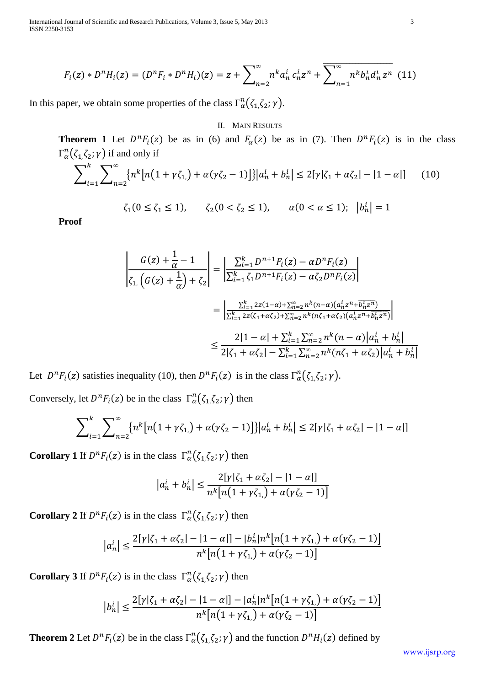International Journal of Scientific and Research Publications, Volume 3, Issue 5, May 2013 3 ISSN 2250-3153

$$
F_i(z) * D^n H_i(z) = (D^n F_i * D^n H_i)(z) = z + \sum_{n=2}^{\infty} n^k a_n^i c_n^i z^n + \overline{\sum_{n=1}^{\infty} n^k b_n^i d_n^i z^n} (11)
$$

In this paper, we obtain some properties of the class  $\Gamma_\alpha^n(\zeta_1,\zeta_2;\gamma)$ .

## II. MAIN RESULTS

**Theorem 1** Let  $D^n F_i(z)$  be as in (6) and  $F_\alpha(z)$  be as in (7). Then  $D^n F_i(z)$  is in the class  $\Gamma_{\alpha}^{n}(\zeta_{1}\zeta_{2};\gamma)$  if and only if

$$
\sum_{i=1}^{k} \sum_{n=2}^{\infty} \left\{ n^{k} \left[ n(1 + \gamma \zeta_{1}) + \alpha(\gamma \zeta_{2} - 1) \right] \right\} \left| a_{n}^{i} + b_{n}^{i} \right| \leq 2[\gamma |\zeta_{1} + \alpha \zeta_{2}| - |1 - \alpha|] \tag{10}
$$

$$
\zeta_1(0 \le \zeta_1 \le 1), \quad \zeta_2(0 < \zeta_2 \le 1), \quad \alpha(0 < \alpha \le 1); \ |b_n^i| = 1
$$

**Proof**

$$
\begin{aligned}\n\left| \frac{G(z) + \frac{1}{\alpha} - 1}{\zeta_{1}} \right| &= \left| \frac{\sum_{i=1}^{k} D^{n+1} F_{i}(z) - \alpha D^{n} F_{i}(z)}{\sum_{i=1}^{k} \zeta_{1} D^{n+1} F_{i}(z) - \alpha \zeta_{2} D^{n} F_{i}(z)} \right| \\
&= \left| \frac{\sum_{i=1}^{k} 2z(1-\alpha) + \sum_{n=2}^{\infty} n^{k} (n-\alpha)(a_{n}^{i} z^{n} + \overline{b_{n}^{i} z^{n}})}{\sum_{i=1}^{k} 2z(\zeta_{1} + \alpha \zeta_{2}) + \sum_{n=2}^{\infty} n^{k} (n \zeta_{1} + \alpha \zeta_{2})(a_{n}^{i} z^{n} + \overline{b_{n}^{i} z^{n}})} \right| \\
&\leq \frac{2|1 - \alpha| + \sum_{i=1}^{k} \sum_{n=2}^{\infty} n^{k} (n - \alpha)|a_{n}^{i} + b_{n}^{i}|}{2|\zeta_{1} + \alpha \zeta_{2}| - \sum_{i=1}^{k} \sum_{n=2}^{\infty} n^{k} (n \zeta_{1} + \alpha \zeta_{2})|a_{n}^{i} + b_{n}^{i}|}\n\end{aligned}
$$

Let  $D^n F_i(z)$  satisfies inequality (10), then  $D^n F_i(z)$  is in the class  $\Gamma_\alpha^n(\zeta_1, \zeta_2; \gamma)$ .

Conversely, let  $D^n F_i(z)$  be in the class  $\Gamma_\alpha^n(\zeta_1, \zeta_2; \gamma)$  then

$$
\sum_{i=1}^{k} \sum_{n=2}^{\infty} \left\{ n^{k} \left[ n(1 + \gamma \zeta_{1}) + \alpha(\gamma \zeta_{2} - 1) \right] \right\} |a_{n}^{i} + b_{n}^{i}| \le 2[\gamma |\zeta_{1} + \alpha \zeta_{2}| - |1 - \alpha|]
$$

**Corollary 1** If  $D^n F_i(z)$  is in the class  $\Gamma_\alpha^n(\zeta_1, \zeta_2; \gamma)$  then

$$
|a_n^i + b_n^i| \le \frac{2[\gamma|\zeta_1 + \alpha \zeta_2| - |1 - \alpha|]}{n^k[n(1 + \gamma \zeta_1) + \alpha(\gamma \zeta_2 - 1)]}
$$

**Corollary 2** If  $D^n F_i(z)$  is in the class  $\Gamma^n_{\alpha}(\zeta_1, \zeta_2; \gamma)$  then

$$
|a_n^i| \le \frac{2[\gamma|\zeta_1 + \alpha \zeta_2| - |1 - \alpha|] - |b_n^i|n^k[n(1 + \gamma \zeta_1) + \alpha(\gamma \zeta_2 - 1)]}{n^k[n(1 + \gamma \zeta_1) + \alpha(\gamma \zeta_2 - 1)]}
$$

**Corollary 3** If  $D^n F_i(z)$  is in the class  $\Gamma^n_{\alpha}(\zeta_1, \zeta_2; \gamma)$  then

$$
|b_n^i| \le \frac{2[\gamma|\zeta_1 + \alpha \zeta_2| - |1 - \alpha|] - |a_n^i|n^k[n(1 + \gamma \zeta_1) + \alpha(\gamma \zeta_2 - 1)]}{n^k[n(1 + \gamma \zeta_1) + \alpha(\gamma \zeta_2 - 1)]}
$$

**Theorem 2** Let  $D^n F_i(z)$  be in the class  $\Gamma_\alpha^n(\zeta_1,\zeta_2;\gamma)$  and the function  $D^n H_i(z)$  defined by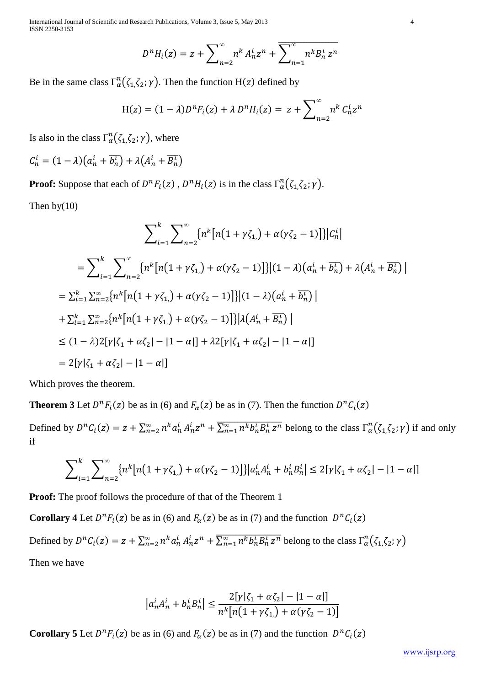International Journal of Scientific and Research Publications, Volume 3, Issue 5, May 2013 4 ISSN 2250-3153

$$
D^{n}H_{i}(z) = z + \sum_{n=2}^{\infty} n^{k} A_{n}^{i} z^{n} + \overline{\sum_{n=1}^{\infty} n^{k} B_{n}^{i} z^{n}}
$$

Be in the same class  $\Gamma_{\alpha}^n(\zeta_1\zeta_2;\gamma)$ . Then the function H(z) defined by

$$
H(z) = (1 - \lambda)D^n F_i(z) + \lambda D^n H_i(z) = z + \sum_{n=2}^{\infty} n^k C_n^i z^n
$$

Is also in the class  $\Gamma_\alpha^n(\zeta_1, \zeta_2; \gamma)$ , where

$$
C_n^i = (1 - \lambda) \left( a_n^i + \overline{b_n^i} \right) + \lambda \left( A_n^i + \overline{B_n^i} \right)
$$

**Proof:** Suppose that each of  $D^nF_i(z)$ ,  $D^nH_i(z)$  is in the class  $\Gamma_\alpha^n(\zeta_1\zeta_2;\gamma)$ .

Then by(10)

$$
\sum_{i=1}^{k} \sum_{n=2}^{\infty} \{n^{k}[n(1+\gamma\zeta_{1,}) + \alpha(\gamma\zeta_{2}-1)]\}|C_{n}^{i}|
$$
  
\n=
$$
\sum_{i=1}^{k} \sum_{n=2}^{\infty} \{n^{k}[n(1+\gamma\zeta_{1,}) + \alpha(\gamma\zeta_{2}-1)]\}|(1-\lambda)(a_{n}^{i} + \overline{b_{n}^{i}}) + \lambda(A_{n}^{i} + \overline{B_{n}^{i}})|
$$
  
\n=
$$
\sum_{i=1}^{k} \sum_{n=2}^{\infty} \{n^{k}[n(1+\gamma\zeta_{1,}) + \alpha(\gamma\zeta_{2}-1)]\}|(1-\lambda)(a_{n}^{i} + \overline{b_{n}^{i}})|
$$
  
\n+
$$
\sum_{i=1}^{k} \sum_{n=2}^{\infty} \{n^{k}[n(1+\gamma\zeta_{1,}) + \alpha(\gamma\zeta_{2}-1)]\}|\lambda(A_{n}^{i} + \overline{B_{n}^{i}})|
$$
  
\n
$$
\leq (1-\lambda)2[\gamma|\zeta_{1} + \alpha\zeta_{2}| - |1-\alpha|] + \lambda2[\gamma|\zeta_{1} + \alpha\zeta_{2}| - |1-\alpha|]
$$
  
\n= 
$$
2[\gamma|\zeta_{1} + \alpha\zeta_{2}| - |1-\alpha|]
$$

Which proves the theorem.

**Theorem 3** Let  $D^nF_i(z)$  be as in (6) and  $F_\alpha(z)$  be as in (7). Then the function  $D^nC_i$ 

Defined by  $D^n C_i(z) = z + \sum_{n=2}^{\infty} n^k a_n^i A_n^i z^n + \overline{\sum_{n=1}^{\infty} n^k b_n^i B_n^i z^n}$  belong to the class  $\Gamma_\alpha^n(\zeta_1, \zeta_2; \gamma)$  if and only if

$$
\sum_{i=1}^{k} \sum_{n=2}^{\infty} \left\{ n^{k} \left[ n(1 + \gamma \zeta_{1}) + \alpha(\gamma \zeta_{2} - 1) \right] \right\} \left| a_{n}^{i} A_{n}^{i} + b_{n}^{i} B_{n}^{i} \right| \leq 2[\gamma |\zeta_{1} + \alpha \zeta_{2}| - |1 - \alpha|]
$$

**Proof:** The proof follows the procedure of that of the Theorem 1

**Corollary 4** Let  $D^n F_i(z)$  be as in (6) and  $F_\alpha(z)$  be as in (7) and the function  $D^n C_i$ 

Defined by  $D^n C_i(z) = z + \sum_{n=2}^{\infty} n^k a_n^i A_n^i z^n + \overline{\sum_{n=1}^{\infty} n^k b_n^i B_n^i z^n}$  belong to the class  $\Gamma_\alpha^n(\zeta_1, \zeta_2; \gamma)$ Then we have

$$
|a_n^i A_n^i + b_n^i B_n^i| \le \frac{2[\gamma|\zeta_1 + \alpha \zeta_2| - |1 - \alpha|]}{n^k [n(1 + \gamma \zeta_1) + \alpha(\gamma \zeta_2 - 1)]}
$$

**Corollary 5** Let  $D^n F_i(z)$  be as in (6) and  $F_\alpha(z)$  be as in (7) and the function  $D^n C_i$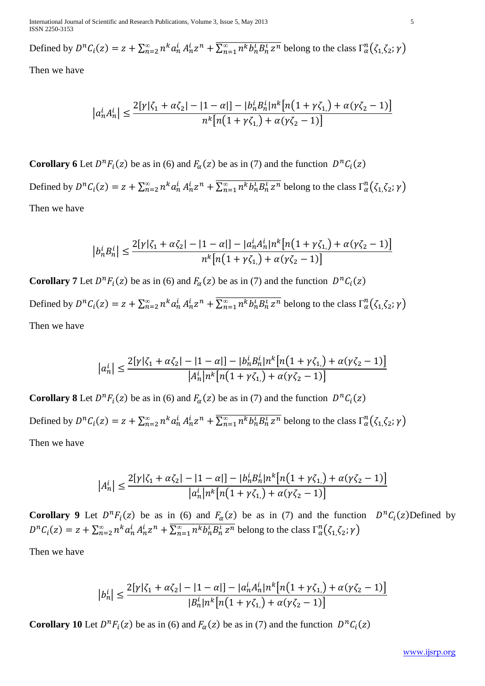International Journal of Scientific and Research Publications, Volume 3, Issue 5, May 2013 5 ISSN 2250-3153

Defined by  $D^n C_i(z) = z + \sum_{n=2}^{\infty} n^k a_n^i A_n^i z^n + \overline{\sum_{n=1}^{\infty} n^k b_n^i B_n^i z^n}$  belong to the class  $\Gamma_\alpha^n(\zeta_1, \zeta_2; \gamma)$ 

Then we have

$$
\left|a_n^i A_n^i\right| \le \frac{2[\gamma |\zeta_1 + \alpha \zeta_2| - |1 - \alpha|] - |b_n^i B_n^i| n^k [n(1 + \gamma \zeta_1) + \alpha (\gamma \zeta_2 - 1)]}{n^k [n(1 + \gamma \zeta_1) + \alpha (\gamma \zeta_2 - 1)]}
$$

**Corollary 6** Let  $D^n F_i(z)$  be as in (6) and  $F_\alpha(z)$  be as in (7) and the function  $D^n C_i$ 

Defined by  $D^n C_i(z) = z + \sum_{n=2}^{\infty} n^k a_n^i A_n^i z^n + \overline{\sum_{n=1}^{\infty} n^k b_n^i B_n^i z^n}$  belong to the class  $\Gamma_\alpha^n(\zeta_1, \zeta_2; \gamma)$ Then we have

$$
\left|b_n^i B_n^i\right| \le \frac{2[\gamma|\zeta_1 + \alpha \zeta_2| - |1 - \alpha|] - |a_n^i A_n^i| n^k [n(1 + \gamma \zeta_1) + \alpha(\gamma \zeta_2 - 1)]}{n^k [n(1 + \gamma \zeta_1) + \alpha(\gamma \zeta_2 - 1)]}
$$

**Corollary 7** Let  $D^n F_i(z)$  be as in (6) and  $F_\alpha(z)$  be as in (7) and the function  $D^n C_i$ Defined by  $D^n C_i(z) = z + \sum_{n=2}^{\infty} n^k a_n^i A_n^i z^n + \overline{\sum_{n=1}^{\infty} n^k b_n^i B_n^i z^n}$  belong to the class  $\Gamma_\alpha^n(\zeta_1, \zeta_2; \gamma)$ Then we have

$$
|a_n^i| \le \frac{2[\gamma|\zeta_1 + \alpha \zeta_2| - |1 - \alpha|] - |b_n^i B_n^i| n^k [n(1 + \gamma \zeta_1) + \alpha(\gamma \zeta_2 - 1)]}{|A_n^i| n^k [n(1 + \gamma \zeta_1) + \alpha(\gamma \zeta_2 - 1)]}
$$

**Corollary 8** Let  $D^n F_i(z)$  be as in (6) and  $F_\alpha(z)$  be as in (7) and the function  $D^n C_i$ Defined by  $D^n C_i(z) = z + \sum_{n=2}^{\infty} n^k a_n^i A_n^i z^n + \overline{\sum_{n=1}^{\infty} n^k b_n^i B_n^i z^n}$  belong to the class  $\Gamma_\alpha^n(\zeta_1, \zeta_2; \gamma)$ Then we have

$$
|A_n^i| \le \frac{2[\gamma|\zeta_1 + \alpha \zeta_2| - |1 - \alpha|] - |b_n^i B_n^i| n^k [n(1 + \gamma \zeta_1) + \alpha(\gamma \zeta_2 - 1)]}{|a_n^i| n^k [n(1 + \gamma \zeta_1) + \alpha(\gamma \zeta_2 - 1)]}
$$

**Corollary 9** Let  $D^n F_i(z)$  be as in (6) and  $F_\alpha(z)$  be as in (7) and the function  $D^n C_i(z)$  Defined by  $D^n C_i(z) = z + \sum_{n=2}^{\infty} n^k a_n^i A_n^i z^n + \overline{\sum_{n=1}^{\infty} n^k b_n^i B_n^i z^n}$  belong to the class  $\Gamma_\alpha^n(\zeta_1, \zeta_2; \gamma)$ 

Then we have

$$
|b_n^i| \le \frac{2[\gamma|\zeta_1 + \alpha \zeta_2| - |1 - \alpha|] - |a_n^i A_n^i| n^k [n(1 + \gamma \zeta_1) + \alpha(\gamma \zeta_2 - 1)]}{|B_n^i| n^k [n(1 + \gamma \zeta_1) + \alpha(\gamma \zeta_2 - 1)]}
$$

**Corollary 10** Let  $D^n F_i(z)$  be as in (6) and  $F_\alpha(z)$  be as in (7) and the function  $D^n C_i$